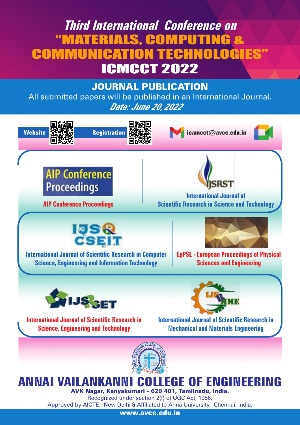# **Third International Conference on** "MATERIALS, COMPUTING & **COMMUNICATION TECHN** ICMCCT 2022

# JOURNAL PUBLICATION

All submitted papers will be published in an International Journal. *Date: June 20*, *2022*



Approved by AICTE, New Delhi & Affiliated to Anna University, Chennai, India. **www.avce.edu.in**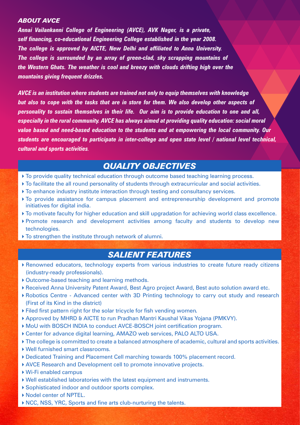#### *ABOUT AVCE*

*Annai Vailankanni College of Engineering (AVCE), AVK Nager, is a private, self financing, co-educational Engineering College established in the year 2008. The college is approved by AICTE, New Delhi and affiliated to Anna University. The college is surrounded by an array of green-clad, sky scrapping mountains of the Western Ghats. The weather is cool and breezy with clouds drifting high over the mountains giving frequent drizzles.*

*AVCE is an institution where students are trained not only to equip themselves with knowledge but also to cope with the tasks that are in store for them. We also develop other aspects of personality to sustain themselves in their life. Our aim is to provide education to one and all, especially in the rural community. AVCE has always aimed at providing quality education: social moral value based and need-based education to the students and at empowering the local community. Our students are encouraged to participate in inter-college and open state level / national level technical, cultural and sports activities.* 

## *QUALITY OBJECTIVES*

- $\triangleright$  To provide quality technical education through outcome based teaching learning process.
- To facilitate the all round personality of students through extracurricular and social activities.
- To enhance industry institute interaction through testing and consultancy services.
- To provide assistance for campus placement and entrepreneurship development and promote initiatives for digital india.
- To motivate faculty for higher education and skill upgradation for achieving world class excellence.
- Promote research and development activities among faculty and students to develop new technologies.
- To strengthen the institute through network of alumni.

# *SALIENT FEATURES*

- Renowned educators, technology experts from various industries to create future ready citizens (industry-ready professionals).
- ▶ Outcome-based teaching and learning methods.
- Received Anna University Patent Award, Best Agro project Award, Best auto solution award etc.
- Robotics Centre Advanced center with 3D Printing technology to carry out study and research (First of its Kind in the district)
- Filed first pattern right for the solar tricycle for fish vending women*.*
- Approved by MHRD & AICTE to run Pradhan Mantri Kaushal Vikas Yojana (PMKVY).
- MoU with BOSCH INDIA to conduct AVCE-BOSCH joint certification program.
- Center for advance digital learning, AMAZO web services, PALO ALTO USA.
- The college is committed to create a balanced atmosphere of academic, cultural and sports activities.
- Well furnished smart classrooms.
- Dedicated Training and Placement Cell marching towards 100% placement record.
- AVCE Research and Development cell to promote innovative projects.
- Wi-Fi enabled campus
- Well established laboratories with the latest equipment and instruments.
- Sophisticated indoor and outdoor sports complex.
- ▶ Nodel center of NPTEL.
- ▶ NCC, NSS, YRC, Sports and fine arts club-nurturing the talents.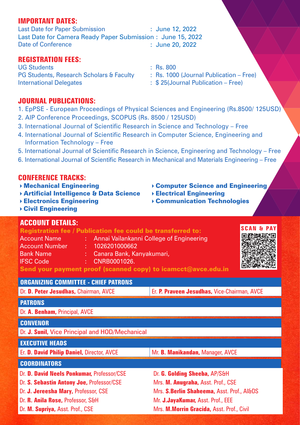#### **IMPORTANT DATES:**

Last Date for Paper Submission Date of Conference : June 12, 2022 Last Date for Camera Ready Paper Submission : June 15, 2022 : June 20, 2022

### **REGISTRATION FEES:**

UG Students : Rs. 800 PG Students, Research Scholars & Faculty : Rs. 1000 (Journal Publication – Free) International Delegates : \$ 25(Journal Publication – Free)

- 
- 

### **JOURNAL PUBLICATIONS:**

- 1. EpPSE European Proceedings of Physical Sciences and Engineering (Rs.8500/ 125USD)
- 2. AIP Conference Proceedings, SCOPUS (Rs. 8500 / 125USD)
- 3. International Journal of Scientific Research in Science and Technology Free
- 4. International Journal of Scientific Research in Computer Science, Engineering and Information Technology – Free
- 5. International Journal of Scientific Research in Science, Engineering and Technology Free
- 6. International Journal of Scientific Research in Mechanical and Materials Engineering Free

#### **CONFERENCE TRACKS:**

- ▶ Mechanical Engineering The Computer Science and Engineering
- $\rightarrow$  Artificial Intelligence & Data Science  $\rightarrow$  Electrical Engineering
- Electronics Engineering **Communication Technologies**

#### Civil Engineering

## **ACCOUNT DETAILS:**

#### Registration fee / Publication fee could be transferred to:

- Account Name : Annai Vailankanni College of Engineering
- Account Number : 1026201000662
- Bank Name : Canara Bank, Kanyakumari,
- IFSC Code : CNRB0001026.

Send your payment proof (scanned copy) to icamcct@avce.edu.in

# **ORGANIZING COMMITTEE - CHIEF PATRONS**

Dr. **D. Peter Jesudhas, Chairman, AVCE <b>Er. P. Praveen Jesudhas,** Vice-Chairman, AVCE

#### **PATRONS**

Dr. **A. Benham,** Principal, AVCE

#### **CONVENOR**

Dr. **J. Sunil,** Vice Principal and HOD/Mechanical

## **EXECUTIVE HEADS**

Er. **D. David Philip Daniel,** Director, AVCE Mr. **B. Manikandan, Manager, AVCE** 

#### **COORDINATORS**

Dr. **D. David Neels Ponkumar,** Professor/CSE

Dr. **S. Sebastin Antony Joe,** Professor/CSE

- Dr. **J. Jereesha Mary,** Professor, CSE
- Dr. **R. Anila Rose,** Professor, S&H

Dr. **M. Supriya,** Asst. Prof., CSE

Dr. **G. Golding Sheeba,** AP/S&H Mrs. **M. Anugraha,** Asst. Prof., CSE

Mrs. **S.Berlin Shaheema,** Asst. Prof., AI&DS

Mr. **J.JayaKumar,** Asst. Prof., EEE

Mrs. **M.Morrin Gracida,** Asst. Prof., Civil